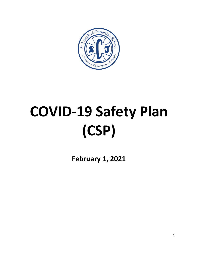

# **COVID-19 Safety Plan (CSP)**

**February 1, 2021**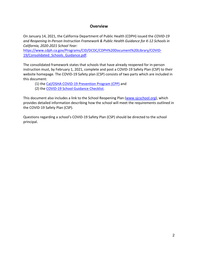### **Overview**

On January 14, 2021, the California Department of Public Health (CDPH) issued the *COVID-19 and Reopening In-Person Instruction Framework & Public Health Guidance for K-12 Schools in California, 2020-2021 School Year:*

https://www.cdph.ca.gov/Programs/CID/DCDC/CDPH%20Document%20Library/COVID-19/Consolidated Schools Guidance.pdf.

The consolidated framework states that schools that have already reopened for in-person instruction must, by February 1, 2021, complete and post a COVID-19 Safety Plan (CSP) to their website homepage. The COVID-19 Safety plan (CSP) consists of two parts which are included in this document:

- (1) the Cal/OSHA COVID-19 Prevention Program (CPP) and
- (2) the COVID-19 School Guidance Checklist.

This document also includes a link to the School Reopening Plan (www.sjcschool.org), which provides detailed information describing how the school will meet the requirements outlined in the COVID-19 Safety Plan (CSP).

Questions regarding a school's COVID-19 Safety Plan (CSP) should be directed to the school principal.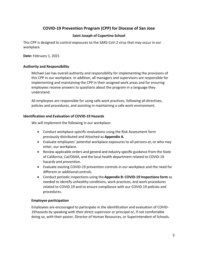## **COVID-19 Prevention Program (CPP) for Diocese of San Jose**

#### **Saint Joseph of Cupertino School**

This CPP is designed to control exposures to the SARS-CoV-2 virus that may occur in our workplace.

**Date:** February 1, 2021

#### **Authority and Responsibility**

Michael Lee has overall authority and responsibility for implementing the provisions of this CPP in our workplace. In addition, all managers and supervisors are responsible for implementing and maintaining the CPP in their assigned work areas and for ensuring employees receive answers to questions about the program in a language they understand.

All employees are responsible for using safe work practices, following all directives, policies and procedures, and assisting in maintaining a safe work environment.

#### **Identification and Evaluation of COVID-19 Hazards**

We will implement the following in our workplace:

- Conduct workplace-specific evaluations using the Risk Assessment form previously distributed and Attached as **Appendix A.**
- Evaluate employees' potential workplace exposures to all persons at, or who may enter, our workplace.
- Review applicable orders and general and industry-specific guidance from the State of California, Cal/OSHA, and the local health department related to COVID-19 hazards and prevention.
- Evaluate existing COVID-19 prevention controls in our workplace and the need for different or additional controls.
- Conduct periodic inspections using the **Appendix B: COVID-19 Inspections form** as needed to identify unhealthy conditions, work practices, and work procedures related to COVID-19 and to ensure compliance with our COVID-19 policies and procedures.

#### **Employee participation**

Employees are encouraged to participate in the identification and evaluation of COVID-19hazards by speaking with their direct supervisor or principal or, if not comfortable doing so, with their pastor, Director of Human Resources, or Superintendent of Schools.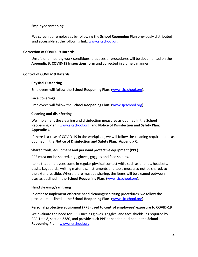#### **Employee screening**

We screen our employees by following the **School Reopening Plan** previously distributed and accessible at the following link: www.sjcschool.org

#### **Correction of COVID-19 Hazards**

Unsafe or unhealthy work conditions, practices or procedures will be documented on the **Appendix B: COVID-19 Inspections** form and corrected in a timely manner.

#### **Control of COVID-19 Hazards**

#### **Physical Distancing**

Employees will follow the **School Reopening Plan**: (www.sjcschool.org).

#### **Face Coverings**

Employees will follow the **School Reopening Plan**: (www.sjcschool.org).

#### **Cleaning and disinfecting**

We implement the cleaning and disinfection measures as outlined in the **School Reopening Plan**: (www.sjcschool.org) and **Notice of Disinfection and Safety Plan: Appendix C**.

If there is a case of COVID-19 in the workplace, we will follow the cleaning requirements as outlined in the **Notice of Disinfection and Safety Plan: Appendix C**.

#### **Shared tools, equipment and personal protective equipment (PPE)**

PPE must not be shared, e.g., gloves, goggles and face shields.

Items that employees come in regular physical contact with, such as phones, headsets, desks, keyboards, writing materials, instruments and tools must also not be shared, to the extent feasible. Where there must be sharing, the items will be cleaned between uses as outlined in the **School Reopening Plan**: (www.sjcschool.org).

#### **Hand cleaning/sanitizing**

In order to implement effective hand cleaning/sanitizing procedures, we follow the procedure outlined in the **School Reopening Plan**: (www.sjcschool.org).

#### **Personal protective equipment (PPE) used to control employees' exposure to COVID-19**

We evaluate the need for PPE (such as gloves, goggles, and face shields) as required by CCR Title 8, section 3380, and provide such PPE as needed outlined in the **School Reopening Plan**: (www.sjcschool.org).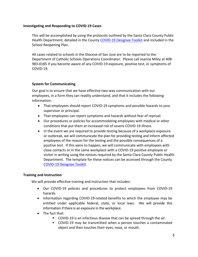#### **Investigating and Responding to COVID-19 Cases**

This will be accomplished by using the protocols outlined by the Santa Clara County Public Health Department, detailed in the County COVID-19 Designee Toolkit and included in the School Reopening Plan.

All cases related to schools in the Diocese of San Jose are to be reported to the Department of Catholic Schools Operations Coordinator. Please call Joanne Miley at 408- 983-0185 if you become aware of any COVID-19 exposure, positive test, or symptoms of COVID-19.

#### **System for Communicating**

Our goal is to ensure that we have effective two-way communication with our employees, in a form they can readily understand, and that it includes the following information:

- That employees should report COVID-19 symptoms and possible hazards to your supervisor or principal.
- That employees can report symptoms and hazards without fear of reprisal.
- Our procedures or policies for accommodating employees with medical or other conditions that put them at increased risk of severe COVID-19 illness.
- In the event we are required to provide testing because of a workplace exposure or outbreak, we will communicate the plan for providing testing and inform affected employees of the reason for the testing and the possible consequences of a positive test. If this were to happen, we will communicate with employees with close contacts or in the same workplace with a COVID-19 positive employee or visitor in writing using the notices required by the Santa Clara County Public Health Department. The template for these notices can be accessed through the County COVID-19 Designee Toolkit.

#### **Training and Instruction**

We will provide effective training and instruction that includes:

- Our COVID-19 policies and procedures to protect employees from COVID-19 hazards.
- Information regarding COVID-19-related benefits to which the employee may be entitled under applicable federal, state, or local laws. We will provide this information if there is an exposure in the workplace.
- The fact that:
	- COVID-19 is an infectious disease that can be spread through the air.
	- COVID-19 may be transmitted when a person touches a contaminated object and then touches their eyes, nose, or mouth.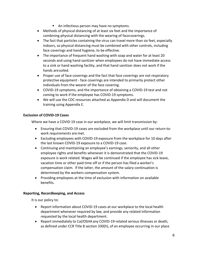- An infectious person may have no symptoms.
- Methods of physical distancing of at least six feet and the importance of combining physical distancing with the wearing of facecoverings.
- The fact that particles containing the virus can travel more than six feet, especially indoors, so physical distancing must be combined with other controls, including face coverings and hand hygiene, to be effective.
- The importance of frequent hand washing with soap and water for at least 20 seconds and using hand sanitizer when employees do not have immediate access to a sink or hand washing facility, and that hand sanitizer does not work if the hands aresoiled.
- Proper use of face coverings and the fact that face coverings are not respiratory protective equipment - face coverings are intended to primarily protect other individuals from the wearer of the face covering.
- COVID-19 symptoms, and the importance of obtaining a COVID-19 test and not coming to work if the employee has COVID-19 symptoms.
- We will use the CDC resources attached as Appendix D and will document the training using Appendix E.

#### **Exclusion of COVID-19 Cases**

Where we have a COVID-19 case in our workplace, we will limit transmission by:

- Ensuring that COVID-19 cases are excluded from the workplace until our return-towork requirements are met.
- Excluding employees with COVID-19 exposure from the workplace for 10 days after the last known COVID-19 exposure to a COVID-19 case.
- Continuing and maintaining an employee's earnings, seniority, and all other employee rights and benefits whenever it is demonstrated that the COVID-19 exposure is work related. Wages will be continued if the employee has sick leave, vacation time or other paid time off or if the person has filed a worker's compensation claim. If the latter, the amount of the salary continuation is determined by the workers compensation system.
- Providing employees at the time of exclusion with information on available benefits.

#### **Reporting, Recordkeeping, and Access**

It is our policy to:

- Report information about COVID-19 cases at our workplace to the local health department whenever required by law, and provide any related information requested by the local health department.
- Report immediately to Cal/OSHA any COVID-19-related serious illnesses or death, as defined under CCR Title 8 section 330(h), of an employee occurring in our place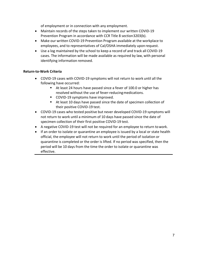of employment or in connection with any employment.

- Maintain records of the steps taken to implement our written COVID-19 Prevention Program in accordance with CCR Title 8 section3203(b).
- Make our written COVID-19 Prevention Program available at the workplace to employees, and to representatives of Cal/OSHA immediately upon request.
- Use a log maintained by the school to keep a record of and track all COVID-19 cases. The information will be made available as required by law, with personal identifying information removed.

#### **Return-to-Work Criteria**

- COVID-19 cases with COVID-19 symptoms will not return to work until all the following have occurred:
	- At least 24 hours have passed since a fever of 100.0 or higher has resolved without the use of fever-reducing medications.
	- COVID-19 symptoms have improved.
	- At least 10 days have passed since the date of specimen collection of their positive COVID-19 test.
- COVID-19 cases who tested positive but never developed COVID-19 symptoms will not return to work until a minimum of 10 days have passed since the date of specimen collection of their first positive COVID-19 test.
- A negative COVID-19 test will not be required for an employee to return towork.
- If an order to isolate or quarantine an employee is issued by a local or state health official, the employee will not return to work until the period of isolation or quarantine is completed or the order is lifted. If no period was specified, then the period will be 10 days from the time the order to isolate or quarantine was effective.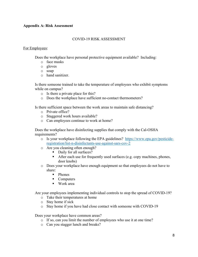#### **Appendix A: Risk Assessment**

#### COVID-19 RISK ASSESSMENT

#### For Employees:

Does the workplace have personal protective equipment available? Including:

- o face masks
- o gloves
- o soap
- o hand sanitizer.

 Is there someone trained to take the temperature of employees who exhibit symptoms while on campus?

- o Is there a private place for this?
- o Does the workplace have sufficient no-contact thermometers?

Is there sufficient space between the work areas to maintain safe distancing?

- o Private office?
- o Staggered work hours available?
- o Can employees continue to work at home?

 Does the workplace have disinfecting supplies that comply with the Cal-OSHA requirements?

- o Is your workplace following the EPA guidelines? https://www.epa.gov/pesticideregistration/list-n-disinfectants-use-against-sars-cov-2
- o Are you cleaning often enough?
	- Daily for all surfaces?
	- After each use for frequently used surfaces (e.g. copy machines, phones, door knobs)
- o Does your workplace have enough equipment so that employees do not have to share:
	- § Phones
	- Computers
	- Work area

Are your employees implementing individual controls to stop the spread of COVID-19?

- o Take their temperatures at home
- o Stay home if sick
- o Stay home if you have had close contact with someone with COVID-19

Does your workplace have common areas?

- o If so, can you limit the number of employees who use it at one time?
- o Can you stagger lunch and breaks?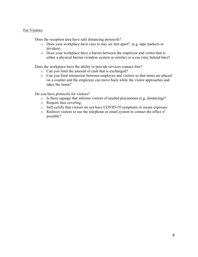#### For Visitors:

Does the reception area have safe distancing protocols?

- o Does your workplace have cues to stay six feet apart? (e.g. tape markers or dividers)
- o Does your workplace have a barrier between the employee and visitor that is either a physical barrier (window system or similar) or a cue (stay behind line)?

Does the workplace have the ability to provide services contact-free?

- o Can you limit the amount of cash that is exchanged?
- o Can you limit interaction between employee and visitors so that items are placed on a counter and the employee can move back while the visitor approaches and takes the items?

Do you have protocols for visitors?

- o Is there signage that informs visitors of needed precautions (e.g. distancing)?
- o Require face covering
- o Self-certify that visitors do not have COVID-19 symptoms or recent exposure
- o Redirect visitors to use the telephone or email system to contact the office if possible?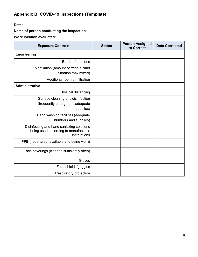# **Appendix B: COVID-19 Inspections (Template)**

**Date:**

**Name of person conducting the inspection**:

**Work location evaluated**:

| <b>Exposure Controls</b>                                                                           | <b>Status</b> | <b>Person Assigned</b><br>to Correct | <b>Date Corrected</b> |
|----------------------------------------------------------------------------------------------------|---------------|--------------------------------------|-----------------------|
| <b>Engineering</b>                                                                                 |               |                                      |                       |
| Barriers/partitions                                                                                |               |                                      |                       |
| Ventilation (amount of fresh air and<br>filtration maximized)                                      |               |                                      |                       |
| Additional room air filtration                                                                     |               |                                      |                       |
| <b>Administrative</b>                                                                              |               |                                      |                       |
| Physical distancing                                                                                |               |                                      |                       |
| Surface cleaning and disinfection<br>(frequently enough and adequate<br>supplies)                  |               |                                      |                       |
| Hand washing facilities (adequate<br>numbers and supplies)                                         |               |                                      |                       |
| Disinfecting and hand sanitizing solutions<br>being used according to manufacturer<br>instructions |               |                                      |                       |
| PPE (not shared, available and being worn)                                                         |               |                                      |                       |
| Face coverings (cleaned sufficiently often)                                                        |               |                                      |                       |
| Gloves                                                                                             |               |                                      |                       |
| Face shields/goggles                                                                               |               |                                      |                       |
| Respiratory protection                                                                             |               |                                      |                       |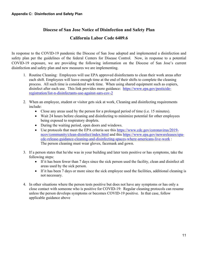# **Diocese of San Jose Notice of Disinfection and Safety Plan California Labor Code 6409.6**

In response to the COVID-19 pandemic the Diocese of San Jose adopted and implemented a disinfection and safety plan per the guidelines of the federal Centers for Disease Control. Now, in response to a potential COVID-19 exposure, we are providing the following information on the Diocese of San Jose's current disinfection and safety plan and new measures we are implementing.

- 1. Routine Cleaning: Employees will use EPA approved disinfectants to clean their work areas after each shift. Employees will leave enough time at the end of their shifts to complete the cleaning process. All such time is considered work time. When using shared equipment such as copiers, disinfect after each use. This link provides more guidance: https://www.epa.gov/pesticideregistration/list-n-disinfectants-use-against-sars-cov-2
- 2. When an employee, student or visitor gets sick at work, Cleaning and disinfecting requirements include:
	- Close any areas used by the person for a prolonged period of time (i.e. 15 minutes).
	- Wait 24 hours before cleaning and disinfecting to minimize potential for other employees being exposed to respiratory droplets.
	- During the waiting period, open doors and windows.
	- Use protocols that meet the EPA criteria see this https://www.cdc.gov/coronavirus/2019ncov/community/clean-disinfect/index.html and this https://www.epa.gov/newsreleases/epacdc-release-guidance-cleaning-and-disinfecting-spaces-where-americans-live-work : The person cleaning must wear gloves, facemask and gown.
- 3. If a person states that he/she was in your building and later tests positive or has symptoms, take the following steps:
	- If it has been fewer than 7 days since the sick person used the facility, clean and disinfect all areas used by the sick person.
	- If it has been 7 days or more since the sick employee used the facilities, additional cleaning is not necessary.
- 4. In other situations where the person tests positive but does not have any symptoms or has only a close contact with someone who is positive for COVID-19: Regular cleaning protocols can resume unless the person develops symptoms or becomes COVID-19 positive. In that case, follow applicable guidance above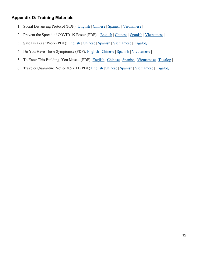## **Appendix D: Training Materials**

- 1. Social Distancing Protocol (PDF) | English | Chinese | Spanish | Vietnamese |
- 2. Prevent the Spread of COVID-19 Poster (PDF): | English | Chinese | Spanish | Vietnamese |
- 3. Safe Breaks at Work (PDF): English | Chinese | Spanish | Vietnamese | Tagalog |
- 4. Do You Have These Symptoms? (PDF): English | Chinese | Spanish | Vietnamese |
- 5. To Enter This Building, You Must... (PDF): English | Chinese | Spanish | Vietnamese | Tagalog |
- 6. Traveler Quarantine Notice 8.5 x 11 (PDF) English |Chinese | Spanish | Vietnamese | Tagalog |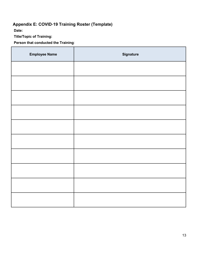# **Appendix E: COVID**-**19 Training Roster (Template)**

**Date:**

**Title/Topic of Training:**

**Person that conducted the Training**:

| <b>Employee Name</b> | <b>Signature</b> |
|----------------------|------------------|
|                      |                  |
|                      |                  |
|                      |                  |
|                      |                  |
|                      |                  |
|                      |                  |
|                      |                  |
|                      |                  |
|                      |                  |
|                      |                  |